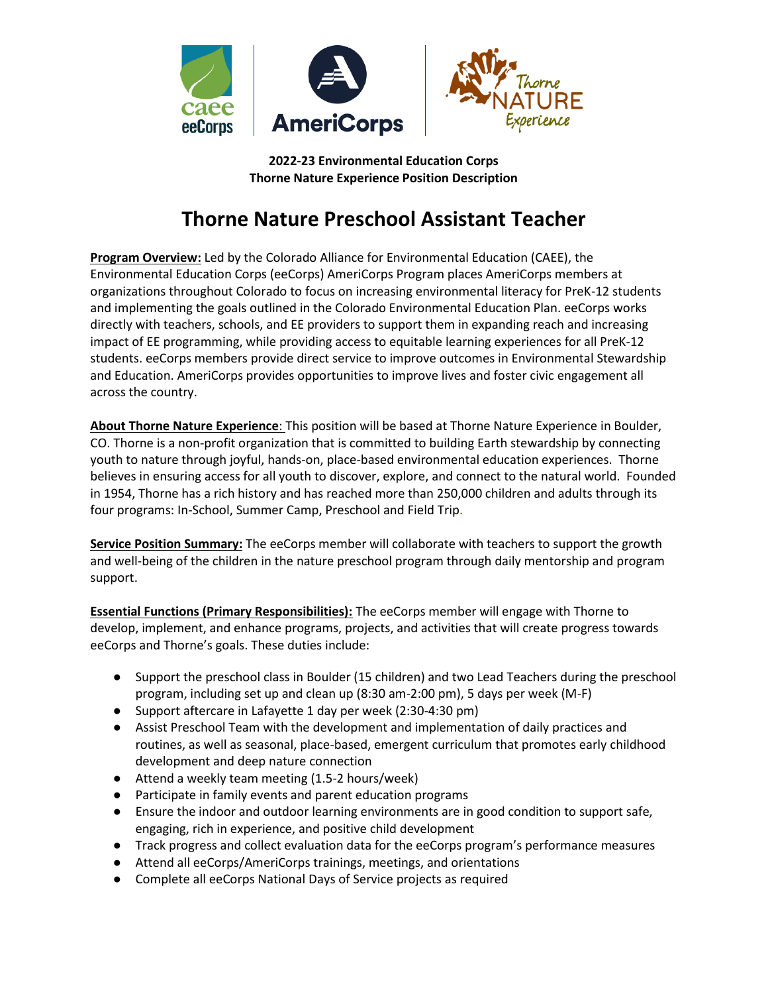

**2022-23 Environmental Education Corps Thorne Nature Experience Position Description**

# **Thorne Nature Preschool Assistant Teacher**

**Program Overview:** Led by the Colorado Alliance for Environmental Education (CAEE), the Environmental Education Corps (eeCorps) AmeriCorps Program places AmeriCorps members at organizations throughout Colorado to focus on increasing environmental literacy for PreK-12 students and implementing the goals outlined in the Colorado Environmental Education Plan. eeCorps works directly with teachers, schools, and EE providers to support them in expanding reach and increasing impact of EE programming, while providing access to equitable learning experiences for all PreK-12 students. eeCorps members provide direct service to improve outcomes in Environmental Stewardship and Education. AmeriCorps provides opportunities to improve lives and foster civic engagement all across the country.

**About Thorne Nature Experience**: This position will be based at Thorne Nature Experience in Boulder, CO. Thorne is a non-profit organization that is committed to building Earth stewardship by connecting youth to nature through joyful, hands-on, place-based environmental education experiences. Thorne believes in ensuring access for all youth to discover, explore, and connect to the natural world. Founded in 1954, Thorne has a rich history and has reached more than 250,000 children and adults through its four programs: In-School, Summer Camp, Preschool and Field Trip.

**Service Position Summary:** The eeCorps member will collaborate with teachers to support the growth and well-being of the children in the nature preschool program through daily mentorship and program support.

**Essential Functions (Primary Responsibilities):** The eeCorps member will engage with Thorne to develop, implement, and enhance programs, projects, and activities that will create progress towards eeCorps and Thorne's goals. These duties include:

- Support the preschool class in Boulder (15 children) and two Lead Teachers during the preschool program, including set up and clean up (8:30 am-2:00 pm), 5 days per week (M-F)
- Support aftercare in Lafayette 1 day per week (2:30-4:30 pm)
- Assist Preschool Team with the development and implementation of daily practices and routines, as well as seasonal, place-based, emergent curriculum that promotes early childhood development and deep nature connection
- Attend a weekly team meeting (1.5-2 hours/week)
- Participate in family events and parent education programs
- Ensure the indoor and outdoor learning environments are in good condition to support safe, engaging, rich in experience, and positive child development
- Track progress and collect evaluation data for the eeCorps program's performance measures
- Attend all eeCorps/AmeriCorps trainings, meetings, and orientations
- Complete all eeCorps National Days of Service projects as required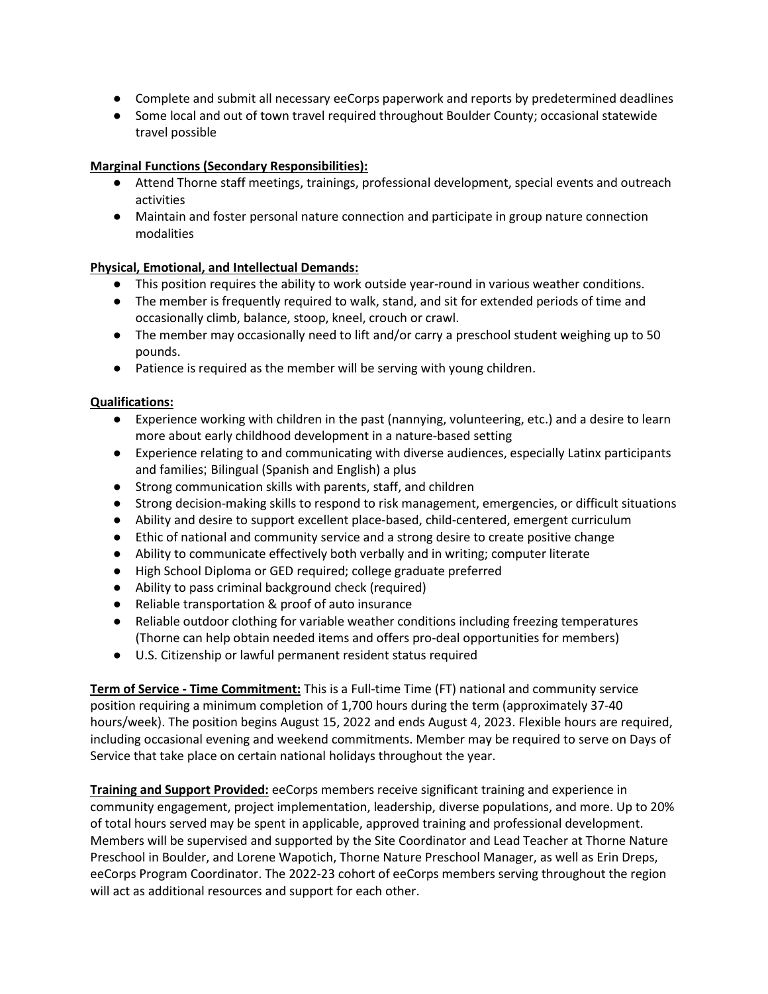- Complete and submit all necessary eeCorps paperwork and reports by predetermined deadlines
- Some local and out of town travel required throughout Boulder County; occasional statewide travel possible

### **Marginal Functions (Secondary Responsibilities):**

- Attend Thorne staff meetings, trainings, professional development, special events and outreach activities
- Maintain and foster personal nature connection and participate in group nature connection modalities

#### **Physical, Emotional, and Intellectual Demands:**

- This position requires the ability to work outside year-round in various weather conditions.
- The member is frequently required to walk, stand, and sit for extended periods of time and occasionally climb, balance, stoop, kneel, crouch or crawl.
- The member may occasionally need to lift and/or carry a preschool student weighing up to 50 pounds.
- Patience is required as the member will be serving with young children.

#### **Qualifications:**

- Experience working with children in the past (nannying, volunteering, etc.) and a desire to learn more about early childhood development in a nature-based setting
- Experience relating to and communicating with diverse audiences, especially Latinx participants and families; Bilingual (Spanish and English) a plus
- Strong communication skills with parents, staff, and children
- Strong decision-making skills to respond to risk management, emergencies, or difficult situations
- Ability and desire to support excellent place-based, child-centered, emergent curriculum
- Ethic of national and community service and a strong desire to create positive change
- Ability to communicate effectively both verbally and in writing; computer literate
- High School Diploma or GED required; college graduate preferred
- Ability to pass criminal background check (required)
- Reliable transportation & proof of auto insurance
- Reliable outdoor clothing for variable weather conditions including freezing temperatures (Thorne can help obtain needed items and offers pro-deal opportunities for members)
- U.S. Citizenship or lawful permanent resident status required

**Term of Service - Time Commitment:** This is a Full-time Time (FT) national and community service position requiring a minimum completion of 1,700 hours during the term (approximately 37-40 hours/week). The position begins August 15, 2022 and ends August 4, 2023. Flexible hours are required, including occasional evening and weekend commitments. Member may be required to serve on Days of Service that take place on certain national holidays throughout the year.

**Training and Support Provided:** eeCorps members receive significant training and experience in community engagement, project implementation, leadership, diverse populations, and more. Up to 20% of total hours served may be spent in applicable, approved training and professional development. Members will be supervised and supported by the Site Coordinator and Lead Teacher at Thorne Nature Preschool in Boulder, and Lorene Wapotich, Thorne Nature Preschool Manager, as well as Erin Dreps, eeCorps Program Coordinator. The 2022-23 cohort of eeCorps members serving throughout the region will act as additional resources and support for each other.